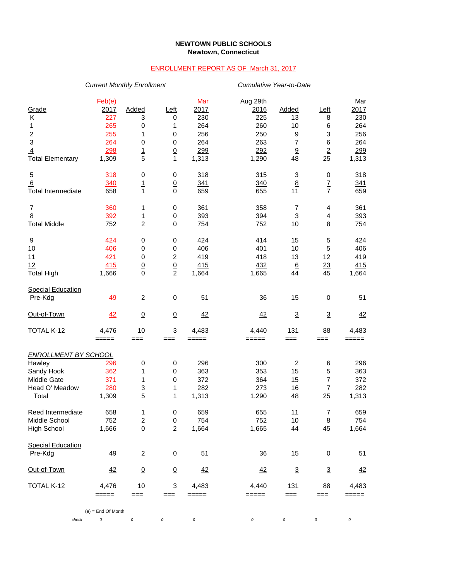## **NEWTOWN PUBLIC SCHOOLS Newtown, Connecticut**

## ENROLLMENT REPORT AS OF March 31, 2017

|                             | <b>Current Monthly Enrollment</b> |                               |                  |         | Cumulative Year-to-Date |                       |                          |            |  |
|-----------------------------|-----------------------------------|-------------------------------|------------------|---------|-------------------------|-----------------------|--------------------------|------------|--|
|                             | Feb(e)                            |                               |                  | Mar     | Aug 29th                |                       |                          | Mar        |  |
| Grade                       | 2017                              | Added                         | <u>Left</u>      | 2017    | 2016                    | <b>Added</b>          | Left                     | 2017       |  |
| Κ                           | 227                               | 3                             | 0                | 230     | 225                     | 13                    | 8                        | 230        |  |
| 1                           | 265                               | 0                             | 1                | 264     | 260                     | 10                    | 6                        | 264        |  |
|                             | 255                               | 1                             | 0                | 256     | 250                     | 9                     | 3                        | 256        |  |
| $\frac{2}{3}$               | 264                               | 0                             | $\pmb{0}$        | 264     | 263                     | 7                     | 6                        | 264        |  |
| $\overline{4}$              | 298                               |                               |                  | 299     | 292                     | $\overline{\partial}$ |                          | <u>299</u> |  |
| <b>Total Elementary</b>     | 1,309                             | $\frac{1}{5}$                 | $\frac{0}{1}$    | 1,313   | 1,290                   | 48                    | $\frac{2}{25}$           | 1,313      |  |
|                             |                                   |                               |                  |         |                         |                       |                          |            |  |
| 5                           | 318                               | 0                             | 0                | 318     | 315                     | 3                     | 0                        | 318        |  |
| 6                           | 340                               | <u>1</u>                      | $\underline{0}$  | 341     | 340                     | $\underline{8}$       | $\underline{\mathsf{7}}$ | 341        |  |
| <b>Total Intermediate</b>   | 658                               | 1                             | $\mathbf 0$      | 659     | 655                     | 11                    | $\overline{7}$           | 659        |  |
| 7                           | 360                               | 1                             | 0                | 361     | 358                     | 7                     | 4                        | 361        |  |
| 8                           | 392                               |                               | $\overline{0}$   | 393     | 394                     | $\overline{3}$        | $\overline{4}$           | 393        |  |
| <b>Total Middle</b>         | 752                               | $\frac{1}{2}$                 | $\mathbf 0$      | 754     | 752                     | 10                    | 8                        | 754        |  |
| 9                           | 424                               | 0                             | 0                | 424     | 414                     | 15                    | 5                        | 424        |  |
| 10                          | 406                               | 0                             | $\,0\,$          | 406     | 401                     | 10                    | 5                        | 406        |  |
| 11                          | 421                               | 0                             | $\boldsymbol{2}$ | 419     | 418                     | 13                    | 12                       | 419        |  |
| 12                          | 415                               |                               |                  | 415     | 432                     | $6\phantom{1}6$       | 23                       | 415        |  |
|                             |                                   | $\overline{0}$<br>$\mathbf 0$ | $\frac{0}{2}$    |         |                         | 44                    | 45                       |            |  |
| <b>Total High</b>           | 1,666                             |                               |                  | 1,664   | 1,665                   |                       |                          | 1,664      |  |
| <b>Special Education</b>    |                                   |                               |                  |         |                         |                       |                          |            |  |
| Pre-Kdg                     | 49                                | $\overline{c}$                | $\,0\,$          | 51      | 36                      | 15                    | 0                        | 51         |  |
| Out-of-Town                 | 42                                | $\underline{0}$               | $\underline{0}$  | 42      | 42                      | $\overline{3}$        | $\overline{3}$           | 42         |  |
| TOTAL K-12                  | 4,476                             | 10                            | 3                | 4,483   | 4,440                   | 131                   | 88                       | 4,483      |  |
|                             | $=====$                           | ===                           | ===              | $=====$ | =====                   | ===                   | ===                      | =====      |  |
| <b>ENROLLMENT BY SCHOOL</b> |                                   |                               |                  |         |                         |                       |                          |            |  |
| Hawley                      | 296                               | 0                             | 0                | 296     | 300                     | $\overline{c}$        | 6                        | 296        |  |
| Sandy Hook                  | 362                               | 1                             | 0                | 363     | 353                     | 15                    | 5                        | 363        |  |
| Middle Gate                 | 371                               | 1                             | 0                | 372     | 364                     | 15                    | $\overline{7}$           | 372        |  |
| Head O' Meadow              | 280                               | $\overline{3}$                |                  | 282     | 273                     | 16                    | $\mathbf{Z}$             | 282        |  |
| Total                       | 1,309                             | 5                             | $\frac{1}{1}$    | 1,313   | 1,290                   | 48                    | 25                       | 1,313      |  |
| Reed Intermediate           |                                   |                               |                  |         |                         |                       |                          |            |  |
|                             | 658                               | 1                             | 0                | 659     | 655                     | 11                    | 7                        | 659        |  |
| Middle School               | 752                               | $\boldsymbol{2}$              | 0                | 754     | 752                     | 10                    | 8                        | 754        |  |
| <b>High School</b>          | 1,666                             | 0                             | $\overline{c}$   | 1,664   | 1,665                   | 44                    | 45                       | 1,664      |  |
| <b>Special Education</b>    |                                   |                               |                  |         |                         |                       |                          |            |  |
| Pre-Kdg                     | 49                                | $\overline{c}$                | 0                | 51      | 36                      | 15                    | 0                        | 51         |  |
| Out-of-Town                 | 42                                | $\overline{0}$                | $\underline{0}$  | 42      | 42                      | $\overline{3}$        | $\overline{3}$           | 42         |  |
| TOTAL K-12                  | 4,476                             | 10                            | 3                | 4,483   | 4,440                   | 131                   | 88                       | 4,483      |  |
|                             | =====                             | ===                           | ===              | =====   | =====                   | ===                   | ===                      | =====      |  |
|                             | $(e) =$ End Of Month              |                               |                  |         |                         |                       |                          |            |  |
| check                       | 0                                 | 0                             | 0                | 0       | 0                       | 0                     | 0                        | $\cal O$   |  |
|                             |                                   |                               |                  |         |                         |                       |                          |            |  |